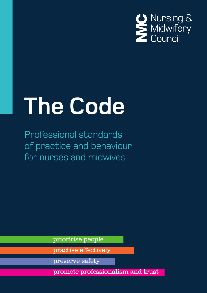

# **The Code**

Professional standards of practice and behaviour for nurses and midwives

prioritise people

practise effectively

preserve safety

promote professionalism and trust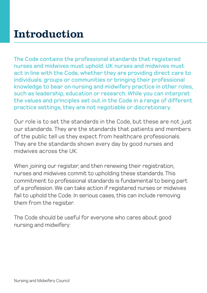# Introduction

The Code contains the professional standards that registered nurses and midwives must uphold. UK nurses and midwives must act in line with the Code, whether they are providing direct care to individuals, groups or communities or bringing their professional knowledge to bear on nursing and midwifery practice in other roles, such as leadership, education or research. While you can interpret the values and principles set out in the Code in a range of different practice settings, they are not negotiable or discretionary.

Our role is to set the standards in the Code, but these are not just our standards. They are the standards that patients and members of the public tell us they expect from healthcare professionals. They are the standards shown every day by good nurses and midwives across the UK.

When joining our register, and then renewing their registration, nurses and midwives commit to upholding these standards. This commitment to professional standards is fundamental to being part of a profession. We can take action if registered nurses or midwives fail to uphold the Code. In serious cases, this can include removing them from the register.

The Code should be useful for everyone who cares about good nursing and midwifery: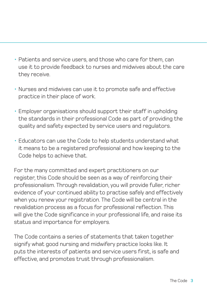- Patients and service users, and those who care for them, can use it to provide feedback to nurses and midwives about the care they receive.
- Nurses and midwives can use it to promote safe and effective practice in their place of work.
- Employer organisations should support their staff in upholding the standards in their professional Code as part of providing the quality and safety expected by service users and regulators.
- Educators can use the Code to help students understand what it means to be a registered professional and how keeping to the Code helps to achieve that.

For the many committed and expert practitioners on our register, this Code should be seen as a way of reinforcing their professionalism. Through revalidation, you will provide fuller, richer evidence of your continued ability to practise safely and effectively when you renew your registration. The Code will be central in the revalidation process as a focus for professional reflection. This will give the Code significance in your professional life, and raise its status and importance for employers.

The Code contains a series of statements that taken together signify what good nursing and midwifery practice looks like. It puts the interests of patients and service users first, is safe and effective, and promotes trust through professionalism.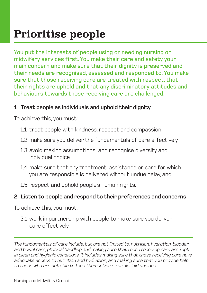# Prioritise people

You put the interests of people using or needing nursing or midwifery services first. You make their care and safety your main concern and make sure that their dignity is preserved and their needs are recognised, assessed and responded to. You make sure that those receiving care are treated with respect, that their rights are upheld and that any discriminatory attitudes and behaviours towards those receiving care are challenged.

#### **1 Treat people as individuals and uphold their dignity**

To achieve this, you must:

- 1.1 treat people with kindness, respect and compassion
- 1.2 make sure you deliver the fundamentals of care effectively
- 1.3 avoid making assumptions and recognise diversity and individual choice
- 1.4 make sure that any treatment, assistance or care for which you are responsible is delivered without undue delay, and
- 1.5 respect and uphold people's human rights.

# **2 Listen to people and respond to their preferences and concerns**

To achieve this, you must:

2.1 work in partnership with people to make sure you deliver care effectively

*The fundamentals of care include, but are not limited to, nutrition, hydration, bladder and bowel care, physical handling and making sure that those receiving care are kept in clean and hygienic conditions. It includes making sure that those receiving care have adequate access to nutrition and hydration, and making sure that you provide help to those who are not able to feed themselves or drink fluid unaided.*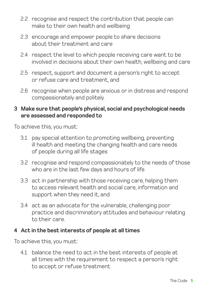- 2.2 recognise and respect the contribution that people can make to their own health and wellbeing
- 2.3 encourage and empower people to share decisions about their treatment and care
- 2.4 respect the level to which people receiving care want to be involved in decisions about their own health, wellbeing and care
- 2.5 respect, support and document a person's right to accept or refuse care and treatment, and
- 2.6 recognise when people are anxious or in distress and respond compassionately and politely.

#### **3 Make sure that people's physical, social and psychological needs are assessed and responded to**

To achieve this, you must:

- 3.1 pay special attention to promoting wellbeing, preventing ill health and meeting the changing health and care needs of people during all life stages
- 3.2 recognise and respond compassionately to the needs of those who are in the last few days and hours of life
- 3.3 act in partnership with those receiving care, helping them to access relevant health and social care, information and support when they need it, and
- 3.4 act as an advocate for the vulnerable, challenging poor practice and discriminatory attitudes and behaviour relating to their care.

# **4 Act in the best interests of people at all times**

To achieve this, you must:

4.1 balance the need to act in the best interests of people at all times with the requirement to respect a person's right to accept or refuse treatment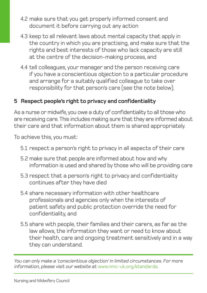- 4.2 make sure that you get properly informed consent and document it before carrying out any action
- 4.3 keep to all relevant laws about mental capacity that apply in the country in which you are practising, and make sure that the rights and best interests of those who lack capacity are still at the centre of the decision-making process, and
- 4.4 tell colleagues, your manager and the person receiving care if you have a conscientious objection to a particular procedure and arrange for a suitably qualified colleague to take over responsibility for that person's care (see the note below).

# **5 Respect people's right to privacy and confidentiality**

As a nurse or midwife, you owe a duty of confidentiality to all those who are receiving care. This includes making sure that they are informed about their care and that information about them is shared appropriately.

To achieve this, you must:

- 5.1 respect a person's right to privacy in all aspects of their care
- 5.2 make sure that people are informed about how and why information is used and shared by those who will be providing care
- 5.3 respect that a person's right to privacy and confidentiality continues after they have died
- 5.4 share necessary information with other healthcare professionals and agencies only when the interests of patient safety and public protection override the need for confidentiality, and
- 5.5 share with people, their families and their carers, as far as the law allows, the information they want or need to know about their health, care and ongoing treatment sensitively and in a way they can understand.

*You can only make a 'conscientious objection' in limited circumstances. For more information, please visit our website at* www.nmc-uk.org/standards*.*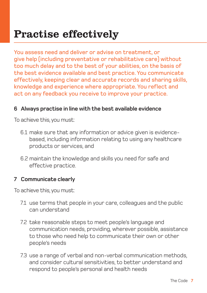You assess need and deliver or advise on treatment, or give help (including preventative or rehabilitative care) without too much delay and to the best of your abilities, on the basis of the best evidence available and best practice. You communicate effectively, keeping clear and accurate records and sharing skills, knowledge and experience where appropriate. You reflect and act on any feedback you receive to improve your practice.

#### **6 Always practise in line with the best available evidence**

To achieve this, you must:

- 6.1 make sure that any information or advice given is evidencebased, including information relating to using any healthcare products or services, and
- 6.2 maintain the knowledge and skills you need for safe and effective practice.

#### **7 Communicate clearly**

- 7.1 use terms that people in your care, colleagues and the public can understand
- 7.2 take reasonable steps to meet people's language and communication needs, providing, wherever possible, assistance to those who need help to communicate their own or other people's needs
- 7.3 use a range of verbal and non-verbal communication methods, and consider cultural sensitivities, to better understand and respond to people's personal and health needs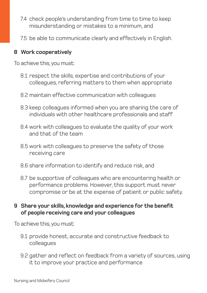- 7.4 check people's understanding from time to time to keep misunderstanding or mistakes to a minimum, and
- 7.5 be able to communicate clearly and effectively in English.

#### **8 Work cooperatively**

To achieve this, you must:

- 8.1 respect the skills, expertise and contributions of your colleagues, referring matters to them when appropriate
- 8.2 maintain effective communication with colleagues
- 8.3 keep colleagues informed when you are sharing the care of individuals with other healthcare professionals and staff
- 8.4 work with colleagues to evaluate the quality of your work and that of the team
- 8.5 work with colleagues to preserve the safety of those receiving care
- 8.6 share information to identify and reduce risk, and
- 8.7 be supportive of colleagues who are encountering health or performance problems. However, this support must never compromise or be at the expense of patient or public safety.

# **9 Share your skills, knowledge and experience for the benefit of people receiving care and your colleagues**

- 9.1 provide honest, accurate and constructive feedback to colleagues
- 9.2 gather and reflect on feedback from a variety of sources, using it to improve your practice and performance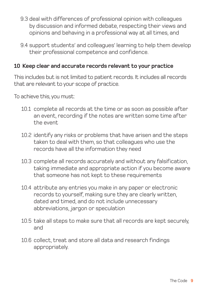- 9.3 deal with differences of professional opinion with colleagues by discussion and informed debate, respecting their views and opinions and behaving in a professional way at all times, and
- 9.4 support students' and colleagues' learning to help them develop their professional competence and confidence.

#### **10 Keep clear and accurate records relevant to your practice**

This includes but is not limited to patient records. It includes all records that are relevant to your scope of practice.

- 10.1 complete all records at the time or as soon as possible after an event, recording if the notes are written some time after the event
- 10.2 identify any risks or problems that have arisen and the steps taken to deal with them, so that colleagues who use the records have all the information they need
- 10.3 complete all records accurately and without any falsification, taking immediate and appropriate action if you become aware that someone has not kept to these requirements
- 10.4 attribute any entries you make in any paper or electronic records to yourself, making sure they are clearly written, dated and timed, and do not include unnecessary abbreviations, jargon or speculation
- 10.5 take all steps to make sure that all records are kept securely, and
- 10.6 collect, treat and store all data and research findings appropriately.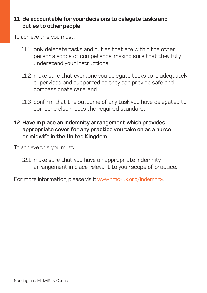## **11 Be accountable for your decisions to delegate tasks and duties to other people**

To achieve this, you must:

- 11.1 only delegate tasks and duties that are within the other person's scope of competence, making sure that they fully understand your instructions
- 11.2 make sure that everyone you delegate tasks to is adequately supervised and supported so they can provide safe and compassionate care, and
- 11.3 confirm that the outcome of any task you have delegated to someone else meets the required standard.

# **12 Have in place an indemnity arrangement which provides appropriate cover for any practice you take on as a nurse or midwife in the United Kingdom**

To achieve this, you must:

12.1 make sure that you have an appropriate indemnity arrangement in place relevant to your scope of practice.

For more information, please visit: www.nmc-uk.org/indemnity.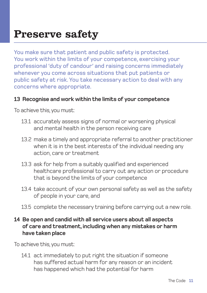# Preserve safety

You make sure that patient and public safety is protected. You work within the limits of your competence, exercising your professional 'duty of candour' and raising concerns immediately whenever you come across situations that put patients or public safety at risk. You take necessary action to deal with any concerns where appropriate.

#### **13 Recognise and work within the limits of your competence**

To achieve this, you must:

- 13.1 accurately assess signs of normal or worsening physical and mental health in the person receiving care
- 13.2 make a timely and appropriate referral to another practitioner when it is in the best interests of the individual needing any action, care or treatment
- 13.3 ask for help from a suitably qualified and experienced healthcare professional to carry out any action or procedure that is beyond the limits of your competence
- 13.4 take account of your own personal safety as well as the safety of people in your care, and
- 13.5 complete the necessary training before carrying out a new role.

#### **14 Be open and candid with all service users about all aspects of care and treatment, including when any mistakes or harm have taken place**

To achieve this, you must:

14.1 act immediately to put right the situation if someone has suffered actual harm for any reason or an incident has happened which had the potential for harm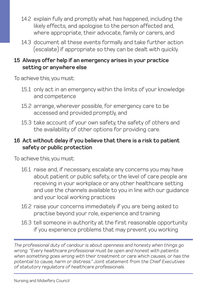- 14.2 explain fully and promptly what has happened, including the likely effects, and apologise to the person affected and, where appropriate, their advocate, family or carers, and
- 14.3 document all these events formally and take further action (escalate) if appropriate so they can be dealt with quickly.

#### **15 Always offer help if an emergency arises in your practice setting or anywhere else**

To achieve this, you must:

- 15.1 only act in an emergency within the limits of your knowledge and competence
- 15.2 arrange, wherever possible, for emergency care to be accessed and provided promptly, and
- 15.3 take account of your own safety, the safety of others and the availability of other options for providing care.

# **16 Act without delay if you believe that there is a risk to patient safety or public protection**

To achieve this, you must:

- 16.1 raise and, if necessary, escalate any concerns you may have about patient or public safety, or the level of care people are receiving in your workplace or any other healthcare setting and use the channels available to you in line with our guidance and your local working practices
- 16.2 raise your concerns immediately if you are being asked to practise beyond your role, experience and training
- 16.3 tell someone in authority at the first reasonable opportunity if you experience problems that may prevent you working

*The professional duty of candour is about openness and honesty when things go wrong. "Every healthcare professional must be open and honest with patients when something goes wrong with their treatment or care which causes, or has the potential to cause, harm or distress." Joint statement from the Chief Executives of statutory regulators of healthcare professionals.*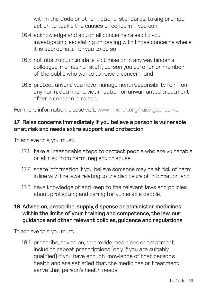within the Code or other national standards, taking prompt action to tackle the causes of concern if you can

- 16.4 acknowledge and act on all concerns raised to you, investigating, escalating or dealing with those concerns where it is appropriate for you to do so
- 16.5 not obstruct, intimidate, victimise or in any way hinder a colleague, member of staff, person you care for or member of the public who wants to raise a concern, and
- 16.6 protect anyone you have management responsibility for from any harm, detriment, victimisation or unwarranted treatment after a concern is raised.

For more information, please visit: www.nmc-uk.org/raisingconcerns.

# **17 Raise concerns immediately if you believe a person is vulnerable or at risk and needs extra support and protection**

To achieve this, you must:

- 17.1 take all reasonable steps to protect people who are vulnerable or at risk from harm, neglect or abuse
- 17.2 share information if you believe someone may be at risk of harm, in line with the laws relating to the disclosure of information, and
- 17.3 have knowledge of and keep to the relevant laws and policies about protecting and caring for vulnerable people.
- **18 Advise on, prescribe, supply, dispense or administer medicines within the limits of your training and competence, the law, our guidance and other relevant policies, guidance and regulations**

To achieve this, you must:

18.1 prescribe, advise on, or provide medicines or treatment, including repeat prescriptions (only if you are suitably qualified) if you have enough knowledge of that person's health and are satisfied that the medicines or treatment serve that person's health needs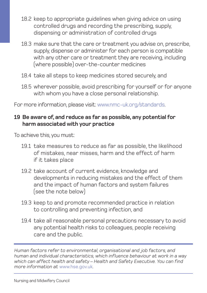- 18.2 keep to appropriate guidelines when giving advice on using controlled drugs and recording the prescribing, supply, dispensing or administration of controlled drugs
- 18.3 make sure that the care or treatment you advise on, prescribe, supply, dispense or administer for each person is compatible with any other care or treatment they are receiving, including (where possible) over-the-counter medicines
- 18.4 take all steps to keep medicines stored securely, and
- 18.5 wherever possible, avoid prescribing for yourself or for anyone with whom you have a close personal relationship.

For more information, please visit: www.nmc-uk.org/standards.

# **19 Be aware of, and reduce as far as possible, any potential for harm associated with your practice**

To achieve this, you must:

- 19.1 take measures to reduce as far as possible, the likelihood of mistakes, near misses, harm and the effect of harm if it takes place
- 19.2 take account of current evidence, knowledge and developments in reducing mistakes and the effect of them and the impact of human factors and system failures (see the note below)
- 19.3 keep to and promote recommended practice in relation to controlling and preventing infection, and
- 19.4 take all reasonable personal precautions necessary to avoid any potential health risks to colleagues, people receiving care and the public.

*Human factors refer to environmental, organisational and job factors, and human and individual characteristics, which influence behaviour at work in a way which can affect health and safety – Health and Safety Executive. You can find more information at* www.hse.gov.uk*.*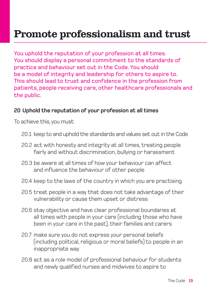You uphold the reputation of your profession at all times. You should display a personal commitment to the standards of practice and behaviour set out in the Code. You should be a model of integrity and leadership for others to aspire to. This should lead to trust and confidence in the profession from patients, people receiving care, other healthcare professionals and the public.

# **20 Uphold the reputation of your profession at all times**

- 20.1 keep to and uphold the standards and values set out in the Code
- 20.2 act with honesty and integrity at all times, treating people fairly and without discrimination, bullying or harassment
- 20.3 be aware at all times of how your behaviour can affect and influence the behaviour of other people
- 20.4 keep to the laws of the country in which you are practising
- 20.5 treat people in a way that does not take advantage of their vulnerability or cause them upset or distress
- 20.6 stay objective and have clear professional boundaries at all times with people in your care (including those who have been in your care in the past), their families and carers
- 20.7 make sure you do not express your personal beliefs (including political, religious or moral beliefs) to people in an inappropriate way
- 20.8 act as a role model of professional behaviour for students and newly qualified nurses and midwives to aspire to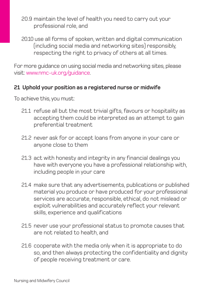- 20.9 maintain the level of health you need to carry out your professional role, and
- 20.10 use all forms of spoken, written and digital communication (including social media and networking sites) responsibly, respecting the right to privacy of others at all times.

For more guidance on using social media and networking sites, please visit: www.nmc-uk.org/guidance.

#### **21 Uphold your position as a registered nurse or midwife**

- 21.1 refuse all but the most trivial gifts, favours or hospitality as accepting them could be interpreted as an attempt to gain preferential treatment
- 21.2 never ask for or accept loans from anyone in your care or anyone close to them
- 21.3 act with honesty and integrity in any financial dealings you have with everyone you have a professional relationship with, including people in your care
- 21.4 make sure that any advertisements, publications or published material you produce or have produced for your professional services are accurate, responsible, ethical, do not mislead or exploit vulnerabilities and accurately reflect your relevant skills, experience and qualifications
- 21.5 never use your professional status to promote causes that are not related to health, and
- 21.6 cooperate with the media only when it is appropriate to do so, and then always protecting the confidentiality and dignity of people receiving treatment or care.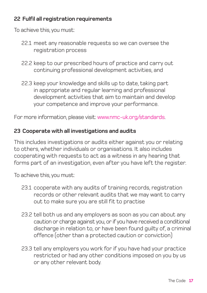# **22 Fulfil all registration requirements**

To achieve this, you must:

- 22.1 meet any reasonable requests so we can oversee the registration process
- 22.2 keep to our prescribed hours of practice and carry out continuing professional development activities, and
- 22.3 keep your knowledge and skills up to date, taking part in appropriate and regular learning and professional development activities that aim to maintain and develop your competence and improve your performance.

For more information, please visit: www.nmc-uk.org/standards.

# **23 Cooperate with all investigations and audits**

This includes investigations or audits either against you or relating to others, whether individuals or organisations. It also includes cooperating with requests to act as a witness in any hearing that forms part of an investigation, even after you have left the register.

- 23.1 cooperate with any audits of training records, registration records or other relevant audits that we may want to carry out to make sure you are still fit to practise
- 23.2 tell both us and any employers as soon as you can about any caution or charge against you, or if you have received a conditional discharge in relation to, or have been found guilty of, a criminal offence (other than a protected caution or conviction)
- 23.3 tell any employers you work for if you have had your practice restricted or had any other conditions imposed on you by us or any other relevant body.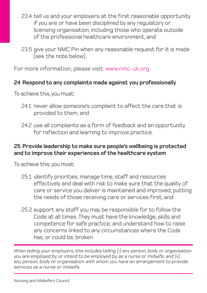- 23.4 tell us and your employers at the first reasonable opportunity if you are or have been disciplined by any regulatory or licensing organisation, including those who operate outside of the professional healthcare environment, and
- 23.5 give your NMC Pin when any reasonable request for it is made (see the note below).

For more information, please visit: www.nmc-uk.org.

# **24 Respond to any complaints made against you professionally**

To achieve this, you must:

- 24.1 never allow someone's complaint to affect the care that is provided to them, and
- 24.2 use all complaints as a form of feedback and an opportunity for reflection and learning to improve practice.

# **25 Provide leadership to make sure people's wellbeing is protected and to improve their experiences of the healthcare system**

To achieve this, you must:

- 25.1 identify priorities, manage time, staff and resources effectively and deal with risk to make sure that the quality of care or service you deliver is maintained and improved, putting the needs of those receiving care or services first, and
- 25.2 support any staff you may be responsible for to follow the Code at all times. They must have the knowledge, skills and competence for safe practice; and understand how to raise any concerns linked to any circumstances where the Code has, or could be, broken.

*When telling your employers, this includes telling (i) any person, body or organisation you are employed by, or intend to be employed by, as a nurse or midwife; and (ii) any person, body or organisation with whom you have an arrangement to provide services as a nurse or midwife.*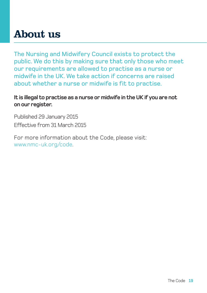# About us

The Nursing and Midwifery Council exists to protect the public. We do this by making sure that only those who meet our requirements are allowed to practise as a nurse or midwife in the UK. We take action if concerns are raised about whether a nurse or midwife is fit to practise.

**It is illegal to practise as a nurse or midwife in the UK if you are not on our register.**

Published 29 January 2015 Effective from 31 March 2015

For more information about the Code, please visit: www.nmc-uk.org/code.